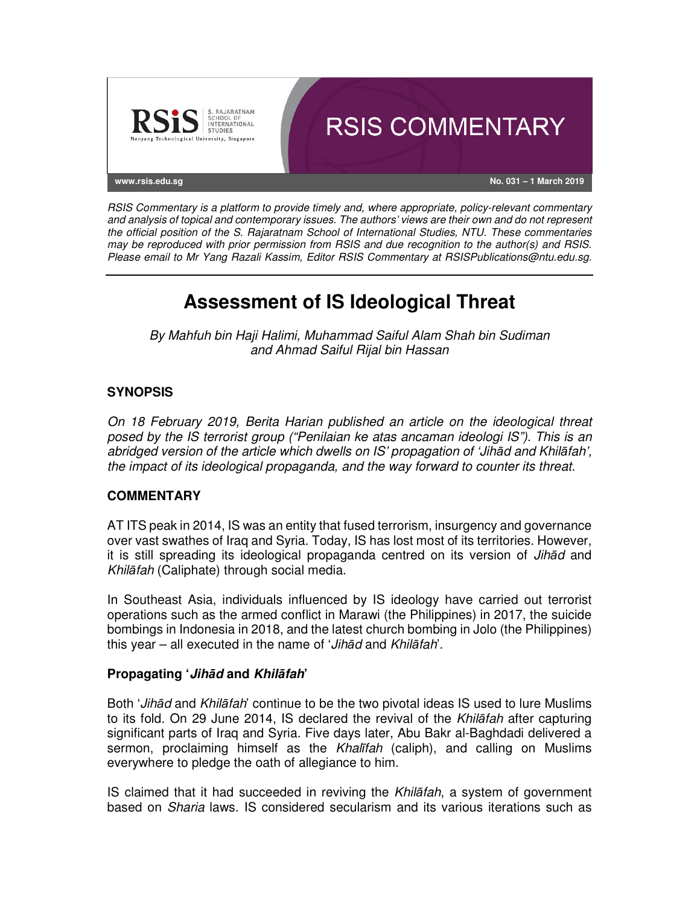

RSIS Commentary is a platform to provide timely and, where appropriate, policy-relevant commentary and analysis of topical and contemporary issues. The authors' views are their own and do not represent the official position of the S. Rajaratnam School of International Studies, NTU. These commentaries may be reproduced with prior permission from RSIS and due recognition to the author(s) and RSIS. Please email to Mr Yang Razali Kassim, Editor RSIS Commentary at RSISPublications@ntu.edu.sg.

# **Assessment of IS Ideological Threat**

By Mahfuh bin Haji Halimi, Muhammad Saiful Alam Shah bin Sudiman and Ahmad Saiful Rijal bin Hassan

## **SYNOPSIS**

On 18 February 2019, Berita Harian published an article on the ideological threat posed by the IS terrorist group ("Penilaian ke atas ancaman ideologi IS"). This is an abridged version of the article which dwells on IS' propagation of 'Jih*ā*d and Khil*ā*fah', the impact of its ideological propaganda, and the way forward to counter its threat.

#### **COMMENTARY**

AT ITS peak in 2014, IS was an entity that fused terrorism, insurgency and governance over vast swathes of Iraq and Syria. Today, IS has lost most of its territories. However, it is still spreading its ideological propaganda centred on its version of Jih*ā*d and Khil*ā*fah (Caliphate) through social media.

In Southeast Asia, individuals influenced by IS ideology have carried out terrorist operations such as the armed conflict in Marawi (the Philippines) in 2017, the suicide bombings in Indonesia in 2018, and the latest church bombing in Jolo (the Philippines) this year – all executed in the name of 'Jih*ā*d and Khil*ā*fah'.

#### **Propagating 'Jih***ā***d and Khil***ā***fah'**

Both 'Jih*ā*d and Khil*ā*fah' continue to be the two pivotal ideas IS used to lure Muslims to its fold. On 29 June 2014, IS declared the revival of the Khil*ā*fah after capturing significant parts of Iraq and Syria. Five days later, Abu Bakr al-Baghdadi delivered a sermon, proclaiming himself as the Khal*ī*fah (caliph), and calling on Muslims everywhere to pledge the oath of allegiance to him.

IS claimed that it had succeeded in reviving the Khil*ā*fah, a system of government based on Sharia laws. IS considered secularism and its various iterations such as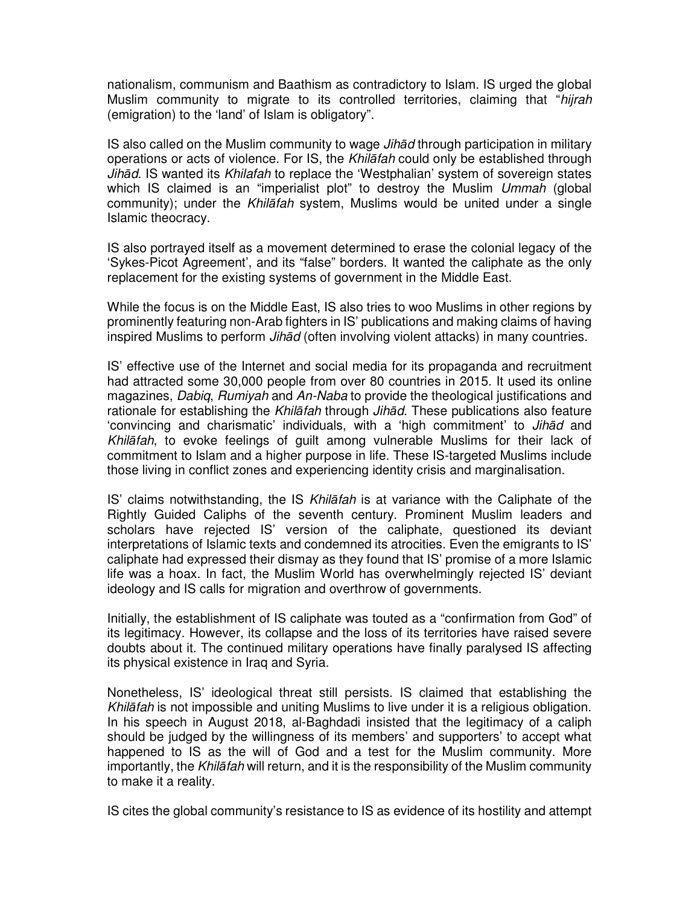nationalism, communism and Baathism as contradictory to Islam. IS urged the global Muslim community to migrate to its controlled territories, claiming that "hijrah (emigration) to the 'land' of Islam is obligatory".

IS also called on the Muslim community to wage Jih*ā*d through participation in military operations or acts of violence. For IS, the Khil*ā*fah could only be established through Jih*ā*d. IS wanted its Khilafah to replace the 'Westphalian' system of sovereign states which IS claimed is an "imperialist plot" to destroy the Muslim Ummah (global community); under the Khil*ā*fah system, Muslims would be united under a single Islamic theocracy.

IS also portrayed itself as a movement determined to erase the colonial legacy of the 'Sykes-Picot Agreement', and its "false" borders. It wanted the caliphate as the only replacement for the existing systems of government in the Middle East.

While the focus is on the Middle East, IS also tries to woo Muslims in other regions by prominently featuring non-Arab fighters in IS' publications and making claims of having inspired Muslims to perform Jih*ā*d (often involving violent attacks) in many countries.

IS' effective use of the Internet and social media for its propaganda and recruitment had attracted some 30,000 people from over 80 countries in 2015. It used its online magazines, Dabiq, Rumiyah and An-Naba to provide the theological justifications and rationale for establishing the Khil*ā*fah through Jih*ā*d. These publications also feature 'convincing and charismatic' individuals, with a 'high commitment' to Jih*ā*d and Khil*ā*fah, to evoke feelings of guilt among vulnerable Muslims for their lack of commitment to Islam and a higher purpose in life. These IS-targeted Muslims include those living in conflict zones and experiencing identity crisis and marginalisation.

IS' claims notwithstanding, the IS Khil*ā*fah is at variance with the Caliphate of the Rightly Guided Caliphs of the seventh century. Prominent Muslim leaders and scholars have rejected IS' version of the caliphate, questioned its deviant interpretations of Islamic texts and condemned its atrocities. Even the emigrants to IS' caliphate had expressed their dismay as they found that IS' promise of a more Islamic life was a hoax. In fact, the Muslim World has overwhelmingly rejected IS' deviant ideology and IS calls for migration and overthrow of governments.

Initially, the establishment of IS caliphate was touted as a "confirmation from God" of its legitimacy. However, its collapse and the loss of its territories have raised severe doubts about it. The continued military operations have finally paralysed IS affecting its physical existence in Iraq and Syria.

Nonetheless, IS' ideological threat still persists. IS claimed that establishing the Khil*ā*fah is not impossible and uniting Muslims to live under it is a religious obligation. In his speech in August 2018, al-Baghdadi insisted that the legitimacy of a caliph should be judged by the willingness of its members' and supporters' to accept what happened to IS as the will of God and a test for the Muslim community. More importantly, the Khil*ā*fah will return, and it is the responsibility of the Muslim community to make it a reality.

IS cites the global community's resistance to IS as evidence of its hostility and attempt